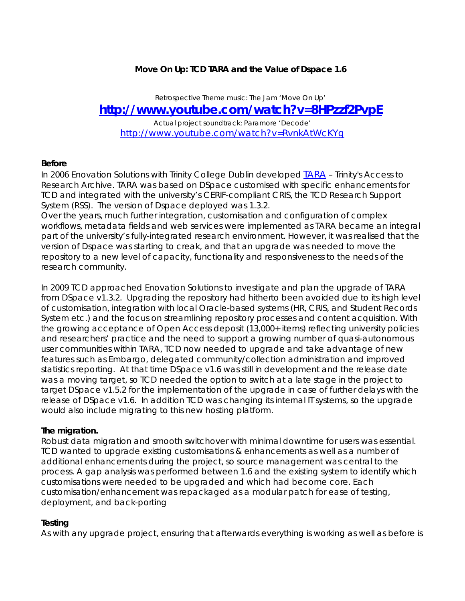# **Move On Up: TCD TARA and the Value of Dspace 1.6**

# *Retrospective Theme music: The Jam 'Move On Up'*  **<http://www.youtube.com/watch?v=8HPzzf2PvpE>**

*Actual project soundtrack: Paramore 'Decode'*  <http://www.youtube.com/watch?v=RvnkAtWcKYg>

## **Before**

In 2006 Enovation Solutions with Trinity College Dublin developed **TARA** - Trinity's Access to Research Archive. TARA was based on DSpace customised with specific enhancements for TCD and integrated with the university's CERIF-compliant CRIS, the TCD Research Support System (RSS). The version of Dspace deployed was 1.3.2.

Over the years, much further integration, customisation and configuration of complex workflows, metadata fields and web services were implemented as TARA became an integral part of the university's fully-integrated research environment. However, it was realised that the version of Dspace was starting to creak, and that an upgrade was needed to move the repository to a new level of capacity, functionality and responsiveness to the needs of the research community.

In 2009 TCD approached Enovation Solutions to investigate and plan the upgrade of TARA from DSpace v1.3.2. Upgrading the repository had hitherto been avoided due to its high level of customisation, integration with local Oracle-based systems (HR, CRIS, and Student Records System etc.) and the focus on streamlining repository processes and content acquisition. With the growing acceptance of Open Access deposit (13,000+ items) reflecting university policies and researchers' practice and the need to support a growing number of quasi-autonomous user communities within TARA, TCD now needed to upgrade and take advantage of new features such as Embargo, delegated community/collection administration and improved statistics reporting. At that time DSpace v1.6 was still in development and the release date was a moving target, so TCD needed the option to switch at a late stage in the project to target DSpace v1.5.2 for the implementation of the upgrade in case of further delays with the release of DSpace v1.6. In addition TCD was changing its internal IT systems, so the upgrade would also include migrating to this new hosting platform.

#### **The migration.**

Robust data migration and smooth switchover with minimal downtime for users was essential. TCD wanted to upgrade existing customisations & enhancements as well as a number of additional enhancements during the project, so source management was central to the process. A gap analysis was performed between 1.6 and the existing system to identify which customisations were needed to be upgraded and which had become core. Each customisation/enhancement was repackaged as a modular patch for ease of testing, deployment, and back-porting

# **Testing**

As with any upgrade project, ensuring that afterwards everything is working as well as before is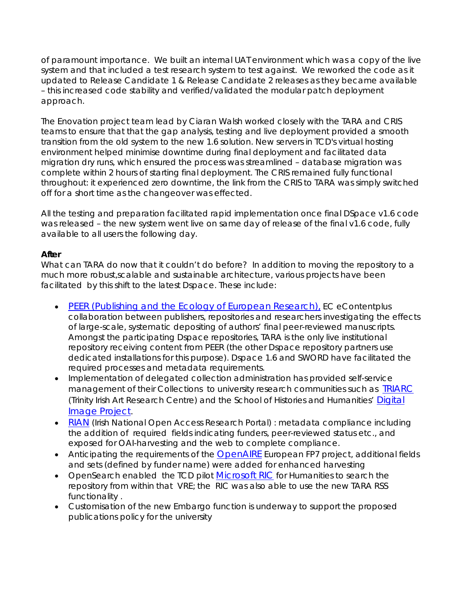of paramount importance. We built an internal UAT environment which was a copy of the live system and that included a test research system to test against. We reworked the code as it updated to Release Candidate 1 & Release Candidate 2 releases as they became available – this increased code stability and verified/validated the modular patch deployment approach.

The Enovation project team lead by Ciaran Walsh worked closely with the TARA and CRIS teams to ensure that that the gap analysis, testing and live deployment provided a smooth transition from the old system to the new 1.6 solution. New servers in TCD's virtual hosting environment helped minimise downtime during final deployment and facilitated data migration dry runs, which ensured the process was streamlined – database migration was complete within 2 hours of starting final deployment. The CRIS remained fully functional throughout: it experienced zero downtime, the link from the CRIS to TARA was simply switched off for a short time as the changeover was effected.

All the testing and preparation facilitated rapid implementation once final DSpace v1.6 code was released – the new system went live on same day of release of the final v1.6 code, fully available to all users the following day.

## **After**

What can TARA do now that it couldn't do before? In addition to moving the repository to a much more robust,scalable and sustainable architecture, various projects have been facilitated by this shift to the latest Dspace. These include:

- [PEER \(Publishing and the Ecology of European Research\),](http://www.peerproject.eu/) EC eContent*plus* collaboration between publishers, repositories and researchers investigating the effects of large-scale, systematic depositing of authors' final peer-reviewed manuscripts. Amongst the participating Dspace repositories, TARA is the only live institutional repository receiving content from PEER (the other Dspace repository partners use dedicated installations for this purpose). Dspace 1.6 and SWORD have facilitated the required processes and metadata requirements.
- Implementation of delegated collection administration has provided self-service management of their Collections to university research communities such as [TRIARC](http://www.tcd.ie/History_of_Art/triarc/) (Trinity Irish Art Research Centre) and the School of Histories and Humanities' [Digital](http://www.tara.tcd.ie/handle/2262/4840)  [Image Project](http://www.tara.tcd.ie/handle/2262/4840).
- [RIAN](http://www.rian.ie/) (Irish National Open Access Research Portal) : metadata compliance including the addition of required fields indicating funders, peer-reviewed status etc., and exposed for OAI-harvesting and the web to complete compliance.
- Anticipating the requirements of the **OpenAIRE** European FP7 project, additional fields and sets (defined by funder name) were added for enhanced harvesting
- OpenSearch enabled the TCD pilot [Microsoft RIC](http://research.microsoft.com/en-us/projects/ric/) for Humanities to search the repository from within that VRE; the RIC was also able to use the new TARA RSS functionality .
- Customisation of the new Embargo function is underway to support the proposed publications policy for the university